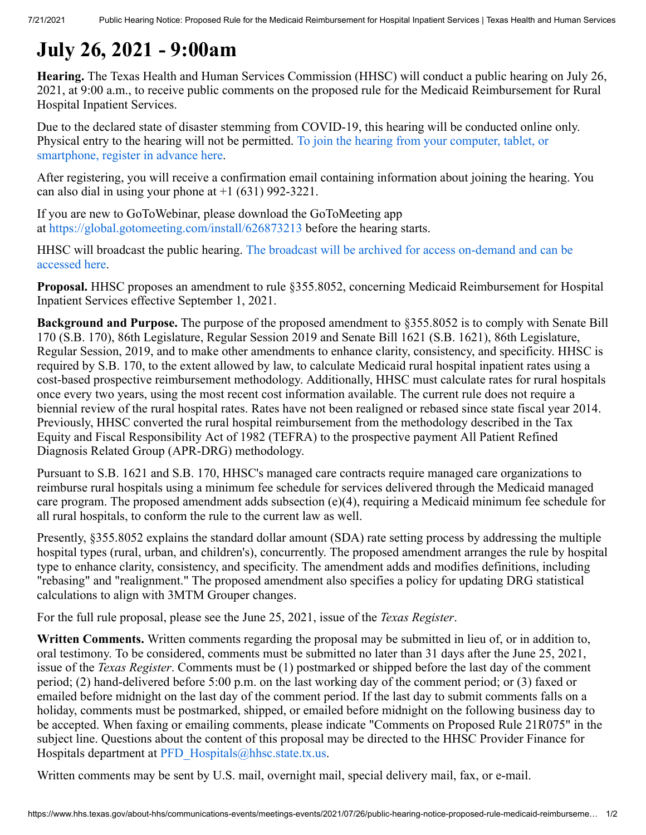# **July 26, 2021 - 9:00am**

**Hearing.** The Texas Health and Human Services Commission (HHSC) will conduct a public hearing on July 26, 2021, at 9:00 a.m., to receive public comments on the proposed rule for the Medicaid Reimbursement for Rural Hospital Inpatient Services.

Due to the declared state of disaster stemming from COVID-19, this hearing will be conducted online only. [Physical entry to the hearing will not be permitted.](https://attendee.gotowebinar.com/register/7976448202087902478) To join the hearing from your computer, tablet, or smartphone, register in advance here.

After registering, you will receive a confirmation email containing information about joining the hearing. You can also dial in using your phone at  $+1$  (631) 992-3221.

If you are new to GoToWebinar, please download the GoToMeeting app at <https://global.gotomeeting.com/install/626873213> before the hearing starts.

HHSC will broadcast the public hearing. [The broadcast will be archived for access on-demand and can be](https://www.hhs.texas.gov/about-hhs/communications-events/live-archived-meetings) accessed here.

**Proposal.** HHSC proposes an amendment to rule §355.8052, concerning Medicaid Reimbursement for Hospital Inpatient Services effective September 1, 2021.

**Background and Purpose.** The purpose of the proposed amendment to §355.8052 is to comply with Senate Bill 170 (S.B. 170), 86th Legislature, Regular Session 2019 and Senate Bill 1621 (S.B. 1621), 86th Legislature, Regular Session, 2019, and to make other amendments to enhance clarity, consistency, and specificity. HHSC is required by S.B. 170, to the extent allowed by law, to calculate Medicaid rural hospital inpatient rates using a cost-based prospective reimbursement methodology. Additionally, HHSC must calculate rates for rural hospitals once every two years, using the most recent cost information available. The current rule does not require a biennial review of the rural hospital rates. Rates have not been realigned or rebased since state fiscal year 2014. Previously, HHSC converted the rural hospital reimbursement from the methodology described in the Tax Equity and Fiscal Responsibility Act of 1982 (TEFRA) to the prospective payment All Patient Refined Diagnosis Related Group (APR-DRG) methodology.

Pursuant to S.B. 1621 and S.B. 170, HHSC's managed care contracts require managed care organizations to reimburse rural hospitals using a minimum fee schedule for services delivered through the Medicaid managed care program. The proposed amendment adds subsection (e)(4), requiring a Medicaid minimum fee schedule for all rural hospitals, to conform the rule to the current law as well.

Presently, §355.8052 explains the standard dollar amount (SDA) rate setting process by addressing the multiple hospital types (rural, urban, and children's), concurrently. The proposed amendment arranges the rule by hospital type to enhance clarity, consistency, and specificity. The amendment adds and modifies definitions, including "rebasing" and "realignment." The proposed amendment also specifies a policy for updating DRG statistical calculations to align with 3MTM Grouper changes.

For the full rule proposal, please see the June 25, 2021, issue of the *Texas Register*.

**Written Comments.** Written comments regarding the proposal may be submitted in lieu of, or in addition to, oral testimony. To be considered, comments must be submitted no later than 31 days after the June 25, 2021, issue of the *Texas Register*. Comments must be (1) postmarked or shipped before the last day of the comment period; (2) hand-delivered before 5:00 p.m. on the last working day of the comment period; or (3) faxed or emailed before midnight on the last day of the comment period. If the last day to submit comments falls on a holiday, comments must be postmarked, shipped, or emailed before midnight on the following business day to be accepted. When faxing or emailing comments, please indicate "Comments on Proposed Rule 21R075" in the subject line. Questions about the content of this proposal may be directed to the HHSC Provider Finance for Hospitals department at [PFD\\_Hospitals@hhsc.state.tx.us.](mailto:PFD_Hospitals@hhsc.state.tx.us)

Written comments may be sent by U.S. mail, overnight mail, special delivery mail, fax, or e-mail.